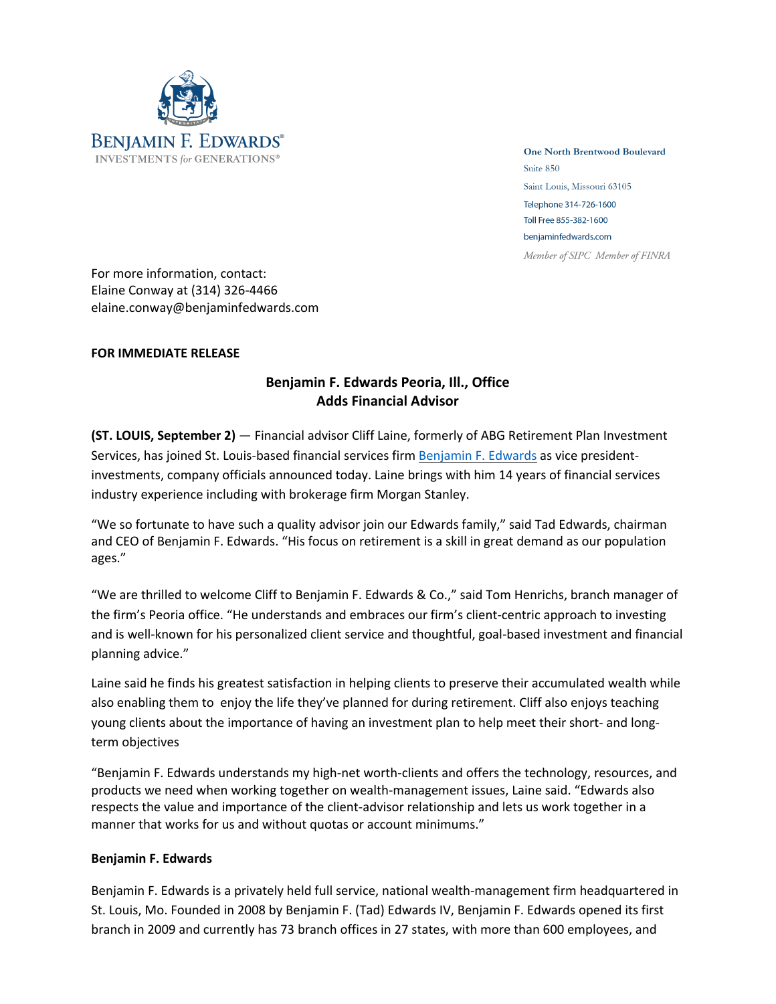

**One North Brentwood Boulevard** Suite 850 Saint Louis, Missouri 63105 Telephone 314-726-1600 Toll Free 855-382-1600 benjaminfedwards.com Member of SIPC Member of FINRA

For more information, contact: Elaine Conway at (314) 326-4466 elaine.conway@benjaminfedwards.com

## **FOR IMMEDIATE RELEASE**

## **Benjamin F. Edwards Peoria, Ill., Office Adds Financial Advisor**

**(ST. LOUIS, September 2)** — Financial advisor Cliff Laine, formerly of ABG Retirement Plan Investment Services, has joined St. Louis-based financial services firm Benjamin F. Edwards as vice presidentinvestments, company officials announced today. Laine brings with him 14 years of financial services industry experience including with brokerage firm Morgan Stanley.

"We so fortunate to have such a quality advisor join our Edwards family," said Tad Edwards, chairman and CEO of Benjamin F. Edwards. "His focus on retirement is a skill in great demand as our population ages."

"We are thrilled to welcome Cliff to Benjamin F. Edwards & Co.," said Tom Henrichs, branch manager of the firm's Peoria office. "He understands and embraces our firm's client-centric approach to investing and is well-known for his personalized client service and thoughtful, goal-based investment and financial planning advice."

Laine said he finds his greatest satisfaction in helping clients to preserve their accumulated wealth while also enabling them to enjoy the life they've planned for during retirement. Cliff also enjoys teaching young clients about the importance of having an investment plan to help meet their short- and longterm objectives

"Benjamin F. Edwards understands my high-net worth-clients and offers the technology, resources, and products we need when working together on wealth-management issues, Laine said. "Edwards also respects the value and importance of the client-advisor relationship and lets us work together in a manner that works for us and without quotas or account minimums."

## **Benjamin F. Edwards**

Benjamin F. Edwards is a privately held full service, national wealth-management firm headquartered in St. Louis, Mo. Founded in 2008 by Benjamin F. (Tad) Edwards IV, Benjamin F. Edwards opened its first branch in 2009 and currently has 73 branch offices in 27 states, with more than 600 employees, and